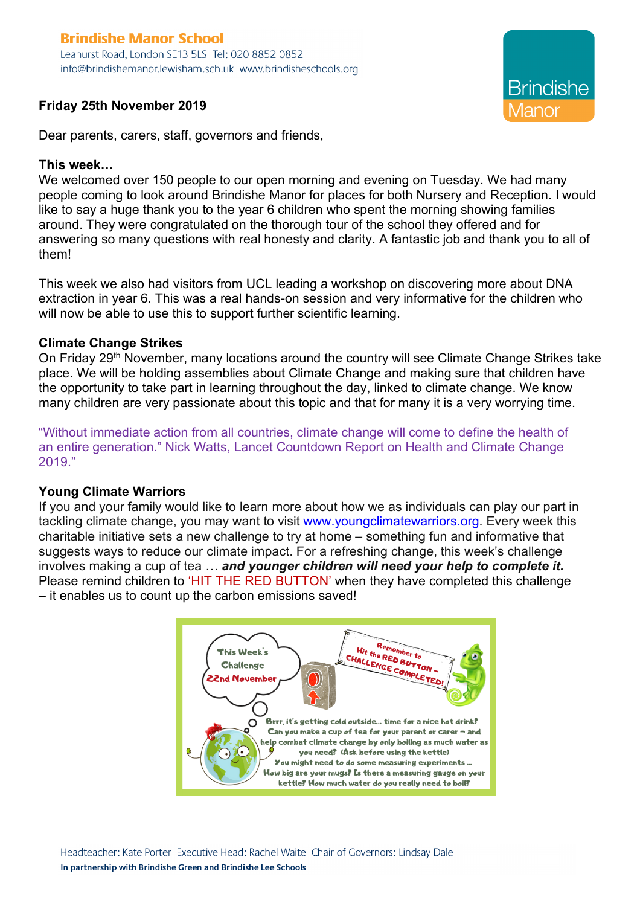# **Brindishe Manor School**

Leahurst Road, London SE13 5LS Tel: 020 8852 0852 info@brindishemanor.lewisham.sch.uk www.brindisheschools.org

## **Friday 25th November 2019**

Dear parents, carers, staff, governors and friends,

## **This week…**

We welcomed over 150 people to our open morning and evening on Tuesday. We had many people coming to look around Brindishe Manor for places for both Nursery and Reception. I would like to say a huge thank you to the year 6 children who spent the morning showing families around. They were congratulated on the thorough tour of the school they offered and for answering so many questions with real honesty and clarity. A fantastic job and thank you to all of them!

This week we also had visitors from UCL leading a workshop on discovering more about DNA extraction in year 6. This was a real hands-on session and very informative for the children who will now be able to use this to support further scientific learning.

## **Climate Change Strikes**

On Friday 29<sup>th</sup> November, many locations around the country will see Climate Change Strikes take place. We will be holding assemblies about Climate Change and making sure that children have the opportunity to take part in learning throughout the day, linked to climate change. We know many children are very passionate about this topic and that for many it is a very worrying time.

"Without immediate action from all countries, climate change will come to define the health of an entire generation." Nick Watts, Lancet Countdown Report on Health and Climate Change 2019."

#### **Young Climate Warriors**

If you and your family would like to learn more about how we as individuals can play our part in tackling climate change, you may want to visit www.youngclimatewarriors.org. Every week this charitable initiative sets a new challenge to try at home – something fun and informative that suggests ways to reduce our climate impact. For a refreshing change, this week's challenge involves making a cup of tea … *and younger children will need your help to complete it.* Please remind children to 'HIT THE RED BUTTON' when they have completed this challenge – it enables us to count up the carbon emissions saved!

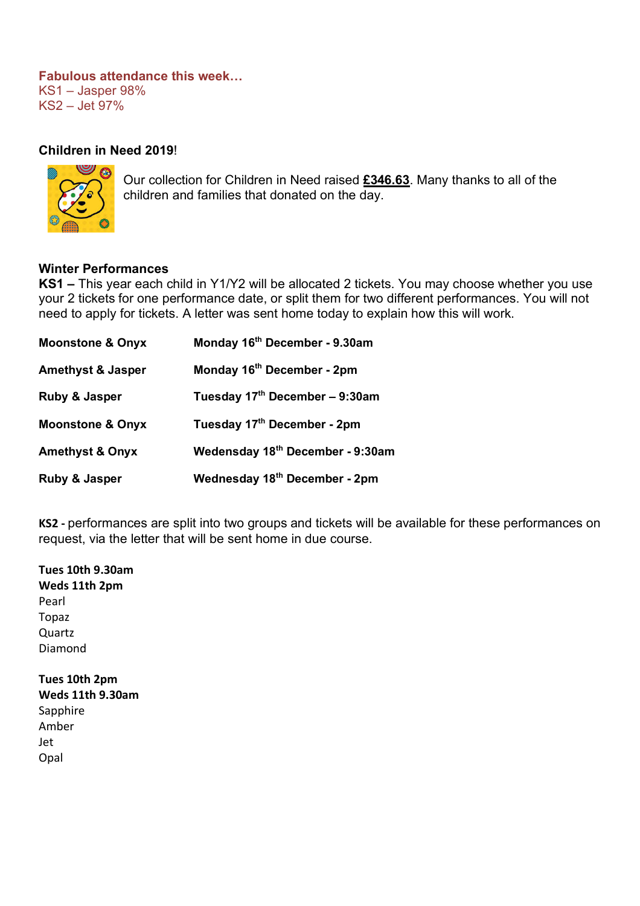## **Fabulous attendance this week…** KS1 – Jasper 98% KS2 – Jet 97%

## **Children in Need 2019**!



Our collection for Children in Need raised **£346.63**. Many thanks to all of the children and families that donated on the day.

#### **Winter Performances**

**KS1 –** This year each child in Y1/Y2 will be allocated 2 tickets. You may choose whether you use your 2 tickets for one performance date, or split them for two different performances. You will not need to apply for tickets. A letter was sent home today to explain how this will work.

| <b>Moonstone &amp; Onyx</b>  | Monday 16 <sup>th</sup> December - 9.30am |
|------------------------------|-------------------------------------------|
| <b>Amethyst &amp; Jasper</b> | Monday 16 <sup>th</sup> December - 2pm    |
| Ruby & Jasper                | Tuesday 17th December - 9:30am            |
| <b>Moonstone &amp; Onyx</b>  | Tuesday 17th December - 2pm               |
| <b>Amethyst &amp; Onyx</b>   | Wedensday 18th December - 9:30am          |
| Ruby & Jasper                | Wednesday 18 <sup>th</sup> December - 2pm |

**KS2 -** performances are split into two groups and tickets will be available for these performances on request, via the letter that will be sent home in due course.

**Weds 11th 2pm** Pearl Topaz Quartz Diamond **Tues 10th 2pm Weds 11th 9.30am Sapphire** Amber Jet Opal

**Tues 10th 9.30am**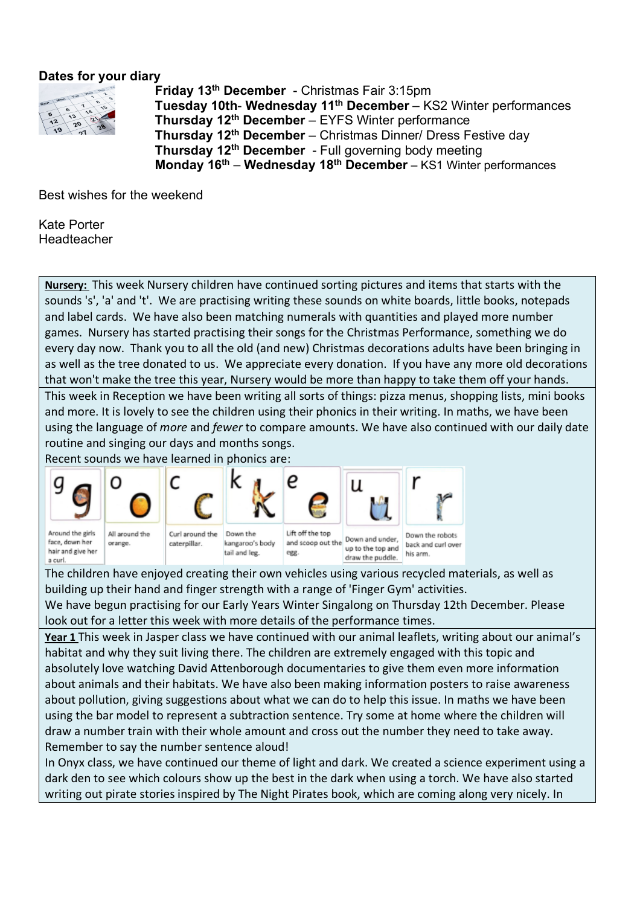# **Dates for your diary**



**Friday 13th December** - Christmas Fair 3:15pm **Tuesday 10th**- **Wednesday 11th December** – KS2 Winter performances **Thursday 12th December** – EYFS Winter performance **Thursday 12th December** – Christmas Dinner/ Dress Festive day **Thursday 12th December** - Full governing body meeting **Monday 16th** – **Wednesday 18th December** – KS1 Winter performances

Best wishes for the weekend

Kate Porter Headteacher

**Nursery:** This week Nursery children have continued sorting pictures and items that starts with the sounds 's', 'a' and 't'. We are practising writing these sounds on white boards, little books, notepads and label cards. We have also been matching numerals with quantities and played more number games. Nursery has started practising their songs for the Christmas Performance, something we do every day now. Thank you to all the old (and new) Christmas decorations adults have been bringing in as well as the tree donated to us. We appreciate every donation. If you have any more old decorations that won't make the tree this year, Nursery would be more than happy to take them off your hands. This week in Reception we have been writing all sorts of things: pizza menus, shopping lists, mini books and more. It is lovely to see the children using their phonics in their writing. In maths, we have been using the language of *more* and *fewer* to compare amounts. We have also continued with our daily date routine and singing our days and months songs.

Recent sounds we have learned in phonics are:



face, down her hair and give her a curl



kangaroo's body tail and leg.

and scoop out the up to the top and egg draw the puddle.

back and curl over his arm.

The children have enjoyed creating their own vehicles using various recycled materials, as well as building up their hand and finger strength with a range of 'Finger Gym' activities.

We have begun practising for our Early Years Winter Singalong on Thursday 12th December. Please look out for a letter this week with more details of the performance times.

**Year 1** This week in Jasper class we have continued with our animal leaflets, writing about our animal's habitat and why they suit living there. The children are extremely engaged with this topic and absolutely love watching David Attenborough documentaries to give them even more information about animals and their habitats. We have also been making information posters to raise awareness about pollution, giving suggestions about what we can do to help this issue. In maths we have been using the bar model to represent a subtraction sentence. Try some at home where the children will draw a number train with their whole amount and cross out the number they need to take away. Remember to say the number sentence aloud!

In Onyx class, we have continued our theme of light and dark. We created a science experiment using a dark den to see which colours show up the best in the dark when using a torch. We have also started writing out pirate stories inspired by The Night Pirates book, which are coming along very nicely. In